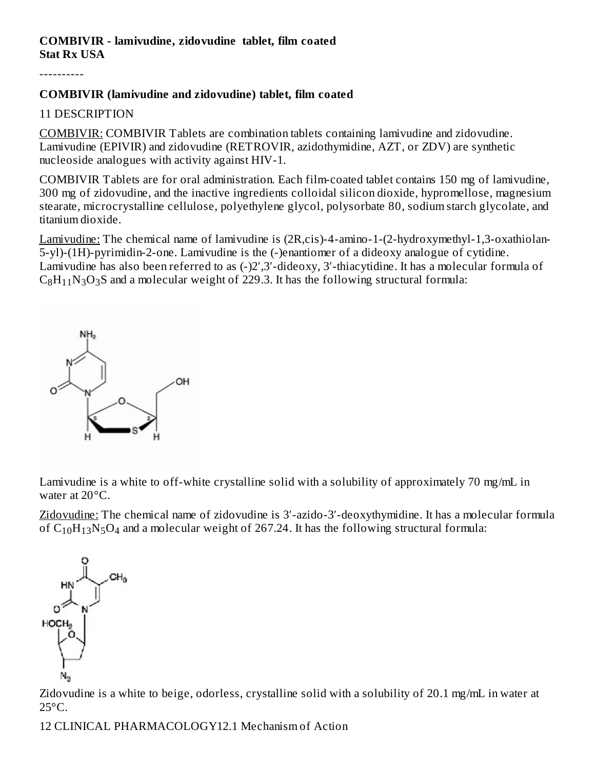#### **COMBIVIR - lamivudine, zidovudine tablet, film coated Stat Rx USA**

----------

### **COMBIVIR (lamivudine and zidovudine) tablet, film coated**

### 11 DESCRIPTION

COMBIVIR: COMBIVIR Tablets are combination tablets containing lamivudine and zidovudine. Lamivudine (EPIVIR) and zidovudine (RETROVIR, azidothymidine, AZT, or ZDV) are synthetic nucleoside analogues with activity against HIV-1.

COMBIVIR Tablets are for oral administration. Each film-coated tablet contains 150 mg of lamivudine, 300 mg of zidovudine, and the inactive ingredients colloidal silicon dioxide, hypromellose, magnesium stearate, microcrystalline cellulose, polyethylene glycol, polysorbate 80, sodium starch glycolate, and titanium dioxide.

Lamivudine: The chemical name of lamivudine is (2R,cis)-4-amino-1-(2-hydroxymethyl-1,3-oxathiolan-5-yl)-(1H)-pyrimidin-2-one. Lamivudine is the (-)enantiomer of a dideoxy analogue of cytidine. Lamivudine has also been referred to as (-)2′,3′-dideoxy, 3′-thiacytidine. It has a molecular formula of  $\rm{C_8H_{11}N_3O_3S}$  and a molecular weight of 229.3. It has the following structural formula:



Lamivudine is a white to off-white crystalline solid with a solubility of approximately 70 mg/mL in water at 20°C.

Zidovudine: The chemical name of zidovudine is 3′-azido-3′-deoxythymidine. It has a molecular formula of  $C_{10}H_{13}N_5O_4$  and a molecular weight of 267.24. It has the following structural formula:



Zidovudine is a white to beige, odorless, crystalline solid with a solubility of 20.1 mg/mL in water at  $25^{\circ}$ C.

12 CLINICAL PHARMACOLOGY12.1 Mechanism of Action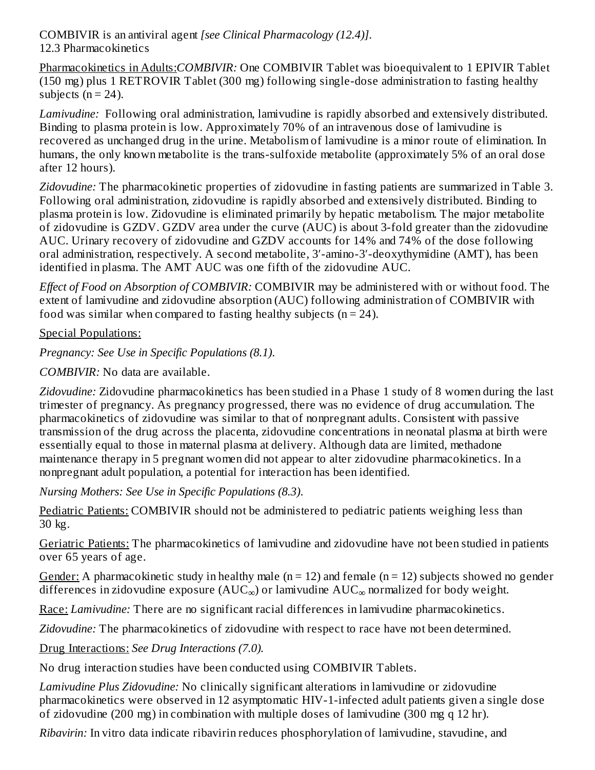COMBIVIR is an antiviral agent *[see Clinical Pharmacology (12.4)]*. 12.3 Pharmacokinetics

Pharmacokinetics in Adults:*COMBIVIR:* One COMBIVIR Tablet was bioequivalent to 1 EPIVIR Tablet (150 mg) plus 1 RETROVIR Tablet (300 mg) following single-dose administration to fasting healthy subjects  $(n = 24)$ .

*Lamivudine:* Following oral administration, lamivudine is rapidly absorbed and extensively distributed. Binding to plasma protein is low. Approximately 70% of an intravenous dose of lamivudine is recovered as unchanged drug in the urine. Metabolism of lamivudine is a minor route of elimination. In humans, the only known metabolite is the trans-sulfoxide metabolite (approximately 5% of an oral dose after 12 hours).

*Zidovudine:* The pharmacokinetic properties of zidovudine in fasting patients are summarized in Table 3. Following oral administration, zidovudine is rapidly absorbed and extensively distributed. Binding to plasma protein is low. Zidovudine is eliminated primarily by hepatic metabolism. The major metabolite of zidovudine is GZDV. GZDV area under the curve (AUC) is about 3-fold greater than the zidovudine AUC. Urinary recovery of zidovudine and GZDV accounts for 14% and 74% of the dose following oral administration, respectively. A second metabolite, 3′-amino-3′-deoxythymidine (AMT), has been identified in plasma. The AMT AUC was one fifth of the zidovudine AUC.

*Effect of Food on Absorption of COMBIVIR:* COMBIVIR may be administered with or without food. The extent of lamivudine and zidovudine absorption (AUC) following administration of COMBIVIR with food was similar when compared to fasting healthy subjects  $(n = 24)$ .

Special Populations:

*Pregnancy: See Use in Specific Populations (8.1)*.

*COMBIVIR:* No data are available.

*Zidovudine:* Zidovudine pharmacokinetics has been studied in a Phase 1 study of 8 women during the last trimester of pregnancy. As pregnancy progressed, there was no evidence of drug accumulation. The pharmacokinetics of zidovudine was similar to that of nonpregnant adults. Consistent with passive transmission of the drug across the placenta, zidovudine concentrations in neonatal plasma at birth were essentially equal to those in maternal plasma at delivery. Although data are limited, methadone maintenance therapy in 5 pregnant women did not appear to alter zidovudine pharmacokinetics. In a nonpregnant adult population, a potential for interaction has been identified.

*Nursing Mothers: See Use in Specific Populations (8.3)*.

Pediatric Patients: COMBIVIR should not be administered to pediatric patients weighing less than 30 kg.

Geriatric Patients: The pharmacokinetics of lamivudine and zidovudine have not been studied in patients over 65 years of age.

Gender: A pharmacokinetic study in healthy male ( $n = 12$ ) and female ( $n = 12$ ) subjects showed no gender differences in zidovudine exposure (AUC $_{\infty}$ ) or lamivudine AUC $_{\infty}$  normalized for body weight.

Race: *Lamivudine*: There are no significant racial differences in lamivudine pharmacokinetics.

*Zidovudine:* The pharmacokinetics of zidovudine with respect to race have not been determined.

Drug Interactions: *See Drug Interactions (7.0).*

No drug interaction studies have been conducted using COMBIVIR Tablets.

*Lamivudine Plus Zidovudine:* No clinically significant alterations in lamivudine or zidovudine pharmacokinetics were observed in 12 asymptomatic HIV-1-infected adult patients given a single dose of zidovudine (200 mg) in combination with multiple doses of lamivudine (300 mg q 12 hr).

*Ribavirin:* In vitro data indicate ribavirin reduces phosphorylation of lamivudine, stavudine, and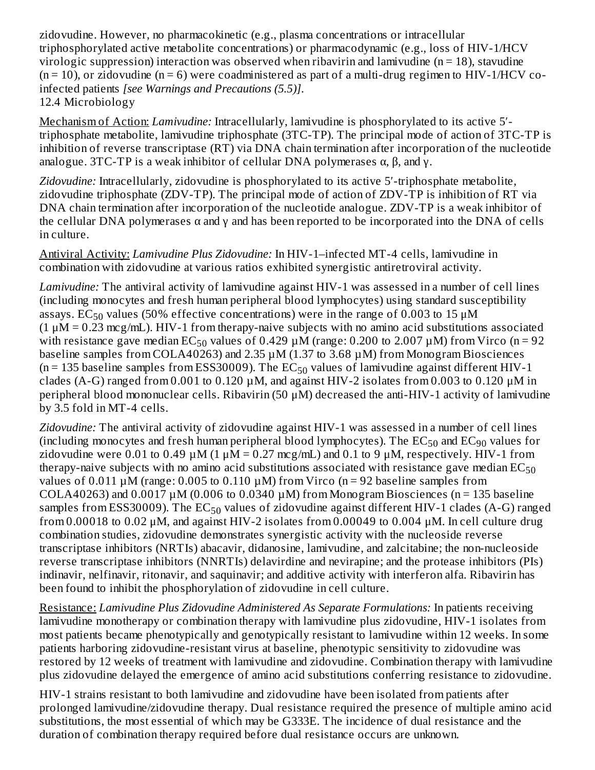zidovudine. However, no pharmacokinetic (e.g., plasma concentrations or intracellular triphosphorylated active metabolite concentrations) or pharmacodynamic (e.g., loss of HIV-1/HCV virologic suppression) interaction was observed when ribavirin and lamivudine ( $n = 18$ ), stavudine  $(n = 10)$ , or zidovudine  $(n = 6)$  were coadministered as part of a multi-drug regimen to HIV-1/HCV coinfected patients *[see Warnings and Precautions (5.5)]*. 12.4 Microbiology

Mechanism of Action: *Lamivudine:* Intracellularly, lamivudine is phosphorylated to its active 5′ triphosphate metabolite, lamivudine triphosphate (3TC-TP). The principal mode of action of 3TC-TP is inhibition of reverse transcriptase (RT) via DNA chain termination after incorporation of the nucleotide analogue. 3TC-TP is a weak inhibitor of cellular DNA polymerases  $\alpha$ ,  $\beta$ , and  $\gamma$ .

Zidovudine: Intracellularly, zidovudine is phosphorylated to its active 5'-triphosphate metabolite, zidovudine triphosphate (ZDV-TP). The principal mode of action of ZDV-TP is inhibition of RT via DNA chain termination after incorporation of the nucleotide analogue. ZDV-TP is a weak inhibitor of the cellular DNA polymerases  $\alpha$  and  $\gamma$  and has been reported to be incorporated into the DNA of cells in culture.

Antiviral Activity: *Lamivudine Plus Zidovudine:* In HIV-1–infected MT-4 cells, lamivudine in combination with zidovudine at various ratios exhibited synergistic antiretroviral activity.

*Lamivudine:* The antiviral activity of lamivudine against HIV-1 was assessed in a number of cell lines (including monocytes and fresh human peripheral blood lymphocytes) using standard susceptibility assays.  $\mathrm{EC}_{50}$  values (50% effective concentrations) were in the range of 0.003 to 15  $\mu\mathrm{M}$  $(1 \mu M = 0.23 \text{ mcg/mL})$ . HIV-1 from therapy-naive subjects with no amino acid substitutions associated with resistance gave median  $EC_{50}$  values of 0.429  $\mu$ M (range: 0.200 to 2.007  $\mu$ M) from Virco (n = 92 baseline samples from COLA40263) and 2.35 µM (1.37 to 3.68 µM) from Monogram Biosciences ( $n = 135$  baseline samples from ESS30009). The EC $_{50}$  values of lamivudine against different HIV-1 clades (A-G) ranged from 0.001 to 0.120  $\mu$ M, and against HIV-2 isolates from 0.003 to 0.120  $\mu$ M in peripheral blood mononuclear cells. Ribavirin (50 μM) decreased the anti-HIV-1 activity of lamivudine by 3.5 fold in MT-4 cells.

*Zidovudine:* The antiviral activity of zidovudine against HIV-1 was assessed in a number of cell lines (including monocytes and fresh human peripheral blood lymphocytes). The  $\mathrm{EC}_{50}$  and  $\mathrm{EC}_{90}$  values for zidovudine were 0.01 to 0.49  $\mu$ M (1  $\mu$ M = 0.27 mcg/mL) and 0.1 to 9  $\mu$ M, respectively. HIV-1 from therapy-naive subjects with no amino acid substitutions associated with resistance gave median  $\mathrm{EC}_{50}$ values of  $0.011 \mu M$  (range: 0.005 to 0.110  $\mu$ M) from Virco (n = 92 baseline samples from COLA40263) and  $0.0017 \mu M$  (0.006 to 0.0340  $\mu$ M) from Monogram Biosciences (n = 135 baseline samples from ESS30009). The  $\mathrm{EC}_{50}$  values of zidovudine against different HIV-1 clades (A-G) ranged from 0.00018 to 0.02  $\mu$ M, and against HIV-2 isolates from 0.00049 to 0.004  $\mu$ M. In cell culture drug combination studies, zidovudine demonstrates synergistic activity with the nucleoside reverse transcriptase inhibitors (NRTIs) abacavir, didanosine, lamivudine, and zalcitabine; the non-nucleoside reverse transcriptase inhibitors (NNRTIs) delavirdine and nevirapine; and the protease inhibitors (PIs) indinavir, nelfinavir, ritonavir, and saquinavir; and additive activity with interferon alfa. Ribavirin has been found to inhibit the phosphorylation of zidovudine in cell culture.

Resistance: *Lamivudine Plus Zidovudine Administered As Separate Formulations:* In patients receiving lamivudine monotherapy or combination therapy with lamivudine plus zidovudine, HIV-1 isolates from most patients became phenotypically and genotypically resistant to lamivudine within 12 weeks. In some patients harboring zidovudine-resistant virus at baseline, phenotypic sensitivity to zidovudine was restored by 12 weeks of treatment with lamivudine and zidovudine. Combination therapy with lamivudine plus zidovudine delayed the emergence of amino acid substitutions conferring resistance to zidovudine.

HIV-1 strains resistant to both lamivudine and zidovudine have been isolated from patients after prolonged lamivudine/zidovudine therapy. Dual resistance required the presence of multiple amino acid substitutions, the most essential of which may be G333E. The incidence of dual resistance and the duration of combination therapy required before dual resistance occurs are unknown.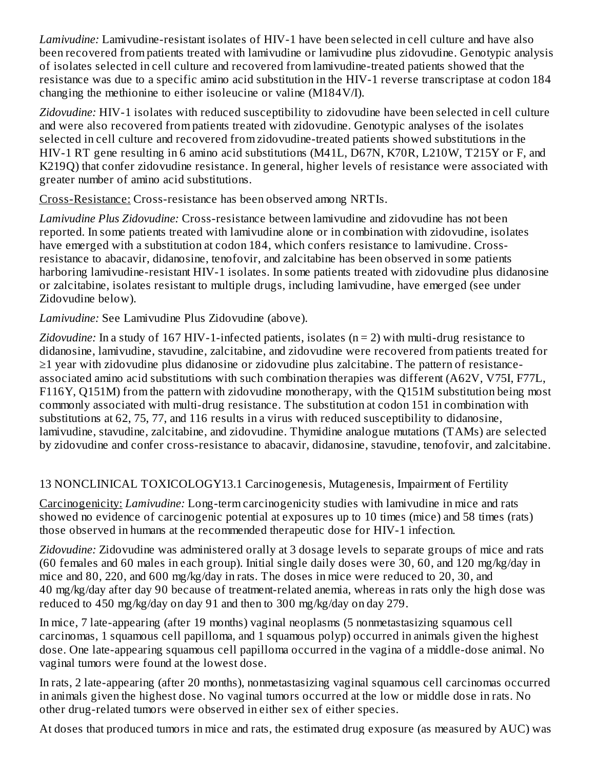*Lamivudine:* Lamivudine-resistant isolates of HIV-1 have been selected in cell culture and have also been recovered from patients treated with lamivudine or lamivudine plus zidovudine. Genotypic analysis of isolates selected in cell culture and recovered from lamivudine-treated patients showed that the resistance was due to a specific amino acid substitution in the HIV-1 reverse transcriptase at codon 184 changing the methionine to either isoleucine or valine (M184V/I).

*Zidovudine:* HIV-1 isolates with reduced susceptibility to zidovudine have been selected in cell culture and were also recovered from patients treated with zidovudine. Genotypic analyses of the isolates selected in cell culture and recovered from zidovudine-treated patients showed substitutions in the HIV-1 RT gene resulting in 6 amino acid substitutions (M41L, D67N, K70R, L210W, T215Y or F, and K219Q) that confer zidovudine resistance. In general, higher levels of resistance were associated with greater number of amino acid substitutions.

Cross-Resistance: Cross-resistance has been observed among NRTIs.

*Lamivudine Plus Zidovudine:* Cross-resistance between lamivudine and zidovudine has not been reported. In some patients treated with lamivudine alone or in combination with zidovudine, isolates have emerged with a substitution at codon 184, which confers resistance to lamivudine. Crossresistance to abacavir, didanosine, tenofovir, and zalcitabine has been observed in some patients harboring lamivudine-resistant HIV-1 isolates. In some patients treated with zidovudine plus didanosine or zalcitabine, isolates resistant to multiple drugs, including lamivudine, have emerged (see under Zidovudine below).

*Lamivudine:* See Lamivudine Plus Zidovudine (above).

*Zidovudine:* In a study of 167 HIV-1-infected patients, isolates (n = 2) with multi-drug resistance to didanosine, lamivudine, stavudine, zalcitabine, and zidovudine were recovered from patients treated for ≥1 year with zidovudine plus didanosine or zidovudine plus zalcitabine. The pattern of resistanceassociated amino acid substitutions with such combination therapies was different (A62V, V75I, F77L, F116Y, Q151M) from the pattern with zidovudine monotherapy, with the Q151M substitution being most commonly associated with multi-drug resistance. The substitution at codon 151 in combination with substitutions at 62, 75, 77, and 116 results in a virus with reduced susceptibility to didanosine, lamivudine, stavudine, zalcitabine, and zidovudine. Thymidine analogue mutations (TAMs) are selected by zidovudine and confer cross-resistance to abacavir, didanosine, stavudine, tenofovir, and zalcitabine.

## 13 NONCLINICAL TOXICOLOGY13.1 Carcinogenesis, Mutagenesis, Impairment of Fertility

Carcinogenicity: *Lamivudine:* Long-term carcinogenicity studies with lamivudine in mice and rats showed no evidence of carcinogenic potential at exposures up to 10 times (mice) and 58 times (rats) those observed in humans at the recommended therapeutic dose for HIV-1 infection.

*Zidovudine:* Zidovudine was administered orally at 3 dosage levels to separate groups of mice and rats (60 females and 60 males in each group). Initial single daily doses were 30, 60, and 120 mg/kg/day in mice and 80, 220, and 600 mg/kg/day in rats. The doses in mice were reduced to 20, 30, and 40 mg/kg/day after day 90 because of treatment-related anemia, whereas in rats only the high dose was reduced to 450 mg/kg/day on day 91 and then to 300 mg/kg/day on day 279.

In mice, 7 late-appearing (after 19 months) vaginal neoplasms (5 nonmetastasizing squamous cell carcinomas, 1 squamous cell papilloma, and 1 squamous polyp) occurred in animals given the highest dose. One late-appearing squamous cell papilloma occurred in the vagina of a middle-dose animal. No vaginal tumors were found at the lowest dose.

In rats, 2 late-appearing (after 20 months), nonmetastasizing vaginal squamous cell carcinomas occurred in animals given the highest dose. No vaginal tumors occurred at the low or middle dose in rats. No other drug-related tumors were observed in either sex of either species.

At doses that produced tumors in mice and rats, the estimated drug exposure (as measured by AUC) was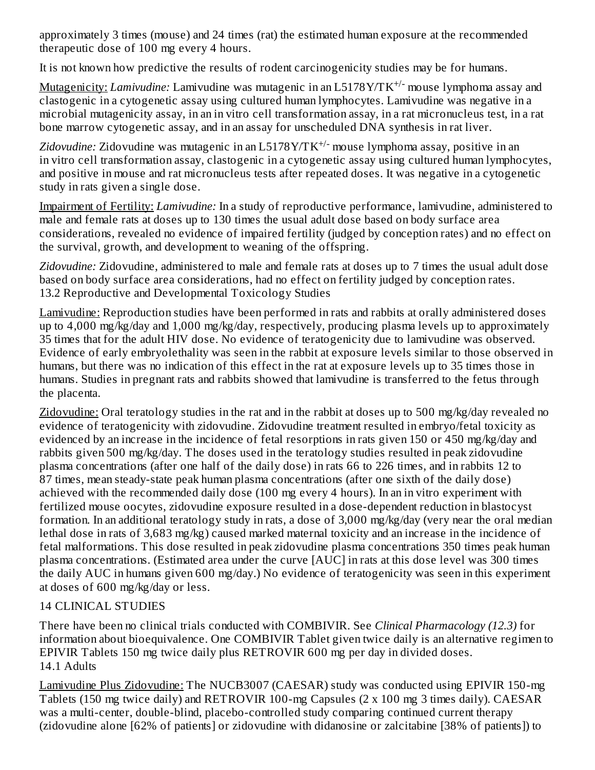approximately 3 times (mouse) and 24 times (rat) the estimated human exposure at the recommended therapeutic dose of 100 mg every 4 hours.

It is not known how predictive the results of rodent carcinogenicity studies may be for humans.

Mutagenicity: *Lamivudine:* Lamivudine was mutagenic in an L5178Y/TK<sup>+/-</sup> mouse lymphoma assay and clastogenic in a cytogenetic assay using cultured human lymphocytes. Lamivudine was negative in a microbial mutagenicity assay, in an in vitro cell transformation assay, in a rat micronucleus test, in a rat bone marrow cytogenetic assay, and in an assay for unscheduled DNA synthesis in rat liver.

Zidovudine: Zidovudine was mutagenic in an L5178Y/TK<sup>+/-</sup> mouse lymphoma assay, positive in an in vitro cell transformation assay, clastogenic in a cytogenetic assay using cultured human lymphocytes, and positive in mouse and rat micronucleus tests after repeated doses. It was negative in a cytogenetic study in rats given a single dose.

Impairment of Fertility: *Lamivudine:* In a study of reproductive performance, lamivudine, administered to male and female rats at doses up to 130 times the usual adult dose based on body surface area considerations, revealed no evidence of impaired fertility (judged by conception rates) and no effect on the survival, growth, and development to weaning of the offspring.

*Zidovudine:* Zidovudine, administered to male and female rats at doses up to 7 times the usual adult dose based on body surface area considerations, had no effect on fertility judged by conception rates. 13.2 Reproductive and Developmental Toxicology Studies

Lamivudine: Reproduction studies have been performed in rats and rabbits at orally administered doses up to 4,000 mg/kg/day and 1,000 mg/kg/day, respectively, producing plasma levels up to approximately 35 times that for the adult HIV dose. No evidence of teratogenicity due to lamivudine was observed. Evidence of early embryolethality was seen in the rabbit at exposure levels similar to those observed in humans, but there was no indication of this effect in the rat at exposure levels up to 35 times those in humans. Studies in pregnant rats and rabbits showed that lamivudine is transferred to the fetus through the placenta.

Zidovudine: Oral teratology studies in the rat and in the rabbit at doses up to 500 mg/kg/day revealed no evidence of teratogenicity with zidovudine. Zidovudine treatment resulted in embryo/fetal toxicity as evidenced by an increase in the incidence of fetal resorptions in rats given 150 or 450 mg/kg/day and rabbits given 500 mg/kg/day. The doses used in the teratology studies resulted in peak zidovudine plasma concentrations (after one half of the daily dose) in rats 66 to 226 times, and in rabbits 12 to 87 times, mean steady-state peak human plasma concentrations (after one sixth of the daily dose) achieved with the recommended daily dose (100 mg every 4 hours). In an in vitro experiment with fertilized mouse oocytes, zidovudine exposure resulted in a dose-dependent reduction in blastocyst formation. In an additional teratology study in rats, a dose of 3,000 mg/kg/day (very near the oral median lethal dose in rats of 3,683 mg/kg) caused marked maternal toxicity and an increase in the incidence of fetal malformations. This dose resulted in peak zidovudine plasma concentrations 350 times peak human plasma concentrations. (Estimated area under the curve [AUC] in rats at this dose level was 300 times the daily AUC in humans given 600 mg/day.) No evidence of teratogenicity was seen in this experiment at doses of 600 mg/kg/day or less.

## 14 CLINICAL STUDIES

There have been no clinical trials conducted with COMBIVIR. See *Clinical Pharmacology (12.3)* for information about bioequivalence. One COMBIVIR Tablet given twice daily is an alternative regimen to EPIVIR Tablets 150 mg twice daily plus RETROVIR 600 mg per day in divided doses. 14.1 Adults

Lamivudine Plus Zidovudine: The NUCB3007 (CAESAR) study was conducted using EPIVIR 150-mg Tablets (150 mg twice daily) and RETROVIR 100-mg Capsules (2 x 100 mg 3 times daily). CAESAR was a multi-center, double-blind, placebo-controlled study comparing continued current therapy (zidovudine alone [62% of patients] or zidovudine with didanosine or zalcitabine [38% of patients]) to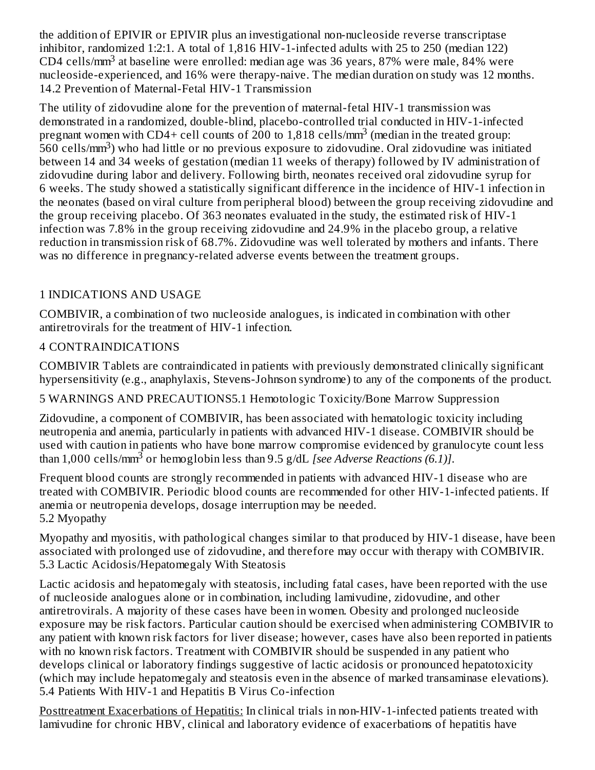the addition of EPIVIR or EPIVIR plus an investigational non-nucleoside reverse transcriptase inhibitor, randomized 1:2:1. A total of 1,816 HIV-1-infected adults with 25 to 250 (median 122) CD4 cells/ $mm<sup>3</sup>$  at baseline were enrolled: median age was 36 years, 87% were male, 84% were nucleoside-experienced, and 16% were therapy-naive. The median duration on study was 12 months. 14.2 Prevention of Maternal-Fetal HIV-1 Transmission

The utility of zidovudine alone for the prevention of maternal-fetal HIV-1 transmission was demonstrated in a randomized, double-blind, placebo-controlled trial conducted in HIV-1-infected pregnant women with CD4+ cell counts of 200 to 1,818 cells/mm<sup>3</sup> (median in the treated group: -<br>560 cells/mm<sup>3</sup>) who had little or no previous exposure to zidovudine. Oral zidovudine was initiated between 14 and 34 weeks of gestation (median 11 weeks of therapy) followed by IV administration of zidovudine during labor and delivery. Following birth, neonates received oral zidovudine syrup for 6 weeks. The study showed a statistically significant difference in the incidence of HIV-1 infection in the neonates (based on viral culture from peripheral blood) between the group receiving zidovudine and the group receiving placebo. Of 363 neonates evaluated in the study, the estimated risk of HIV-1 infection was 7.8% in the group receiving zidovudine and 24.9% in the placebo group, a relative reduction in transmission risk of 68.7%. Zidovudine was well tolerated by mothers and infants. There was no difference in pregnancy-related adverse events between the treatment groups.

# 1 INDICATIONS AND USAGE

COMBIVIR, a combination of two nucleoside analogues, is indicated in combination with other antiretrovirals for the treatment of HIV-1 infection.

## 4 CONTRAINDICATIONS

COMBIVIR Tablets are contraindicated in patients with previously demonstrated clinically significant hypersensitivity (e.g., anaphylaxis, Stevens-Johnson syndrome) to any of the components of the product.

5 WARNINGS AND PRECAUTIONS5.1 Hemotologic Toxicity/Bone Marrow Suppression

Zidovudine, a component of COMBIVIR, has been associated with hematologic toxicity including neutropenia and anemia, particularly in patients with advanced HIV-1 disease. COMBIVIR should be used with caution in patients who have bone marrow compromise evidenced by granulocyte count less than 1,000 cells/mm<sup>3</sup> or hemoglobin less than 9.5 g/dL *[see Adverse Reactions (6.1)]*.

Frequent blood counts are strongly recommended in patients with advanced HIV-1 disease who are treated with COMBIVIR. Periodic blood counts are recommended for other HIV-1-infected patients. If anemia or neutropenia develops, dosage interruption may be needed. 5.2 Myopathy

Myopathy and myositis, with pathological changes similar to that produced by HIV-1 disease, have been associated with prolonged use of zidovudine, and therefore may occur with therapy with COMBIVIR. 5.3 Lactic Acidosis/Hepatomegaly With Steatosis

Lactic acidosis and hepatomegaly with steatosis, including fatal cases, have been reported with the use of nucleoside analogues alone or in combination, including lamivudine, zidovudine, and other antiretrovirals. A majority of these cases have been in women. Obesity and prolonged nucleoside exposure may be risk factors. Particular caution should be exercised when administering COMBIVIR to any patient with known risk factors for liver disease; however, cases have also been reported in patients with no known risk factors. Treatment with COMBIVIR should be suspended in any patient who develops clinical or laboratory findings suggestive of lactic acidosis or pronounced hepatotoxicity (which may include hepatomegaly and steatosis even in the absence of marked transaminase elevations). 5.4 Patients With HIV-1 and Hepatitis B Virus Co-infection

Posttreatment Exacerbations of Hepatitis: In clinical trials in non-HIV-1-infected patients treated with lamivudine for chronic HBV, clinical and laboratory evidence of exacerbations of hepatitis have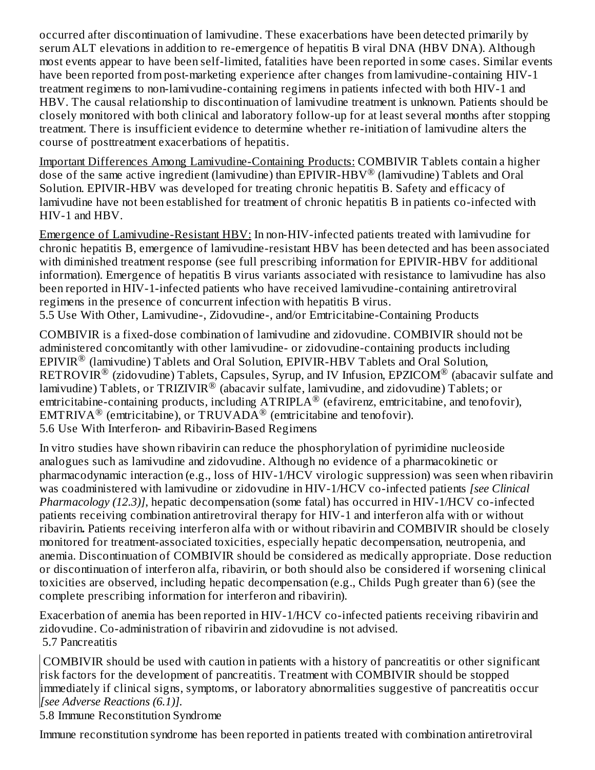occurred after discontinuation of lamivudine. These exacerbations have been detected primarily by serum ALT elevations in addition to re-emergence of hepatitis B viral DNA (HBV DNA). Although most events appear to have been self-limited, fatalities have been reported in some cases. Similar events have been reported from post-marketing experience after changes from lamivudine-containing HIV-1 treatment regimens to non-lamivudine-containing regimens in patients infected with both HIV-1 and HBV. The causal relationship to discontinuation of lamivudine treatment is unknown. Patients should be closely monitored with both clinical and laboratory follow-up for at least several months after stopping treatment. There is insufficient evidence to determine whether re-initiation of lamivudine alters the course of posttreatment exacerbations of hepatitis.

Important Differences Among Lamivudine-Containing Products: COMBIVIR Tablets contain a higher dose of the same active ingredient (lamivudine) than EPIVIR-HBV® (lamivudine) Tablets and Oral Solution. EPIVIR-HBV was developed for treating chronic hepatitis B. Safety and efficacy of lamivudine have not been established for treatment of chronic hepatitis B in patients co-infected with HIV-1 and HBV.

Emergence of Lamivudine-Resistant HBV: In non-HIV-infected patients treated with lamivudine for chronic hepatitis B, emergence of lamivudine-resistant HBV has been detected and has been associated with diminished treatment response (see full prescribing information for EPIVIR-HBV for additional information). Emergence of hepatitis B virus variants associated with resistance to lamivudine has also been reported in HIV-1-infected patients who have received lamivudine-containing antiretroviral regimens in the presence of concurrent infection with hepatitis B virus. 5.5 Use With Other, Lamivudine-, Zidovudine-, and/or Emtricitabine-Containing Products

COMBIVIR is a fixed-dose combination of lamivudine and zidovudine. COMBIVIR should not be administered concomitantly with other lamivudine- or zidovudine-containing products including  $EPIVIR^®$  (lamivudine) Tablets and Oral Solution,  $EPIVIR-HBV$  Tablets and Oral Solution,  $\mathsf{RETROVIR}^{\circledR}$  (zidovudine) Tablets, Capsules, Syrup, and IV Infusion, EPZICOM $^\circledR$  (abacavir sulfate and lamivudine) Tablets, or TRIZIVIR $^\circledR$  (abacavir sulfate, lamivudine, and zidovudine) Tablets; or emtricitabine-containing products, including  $\text{ATRIPLA}^{\circledR}$  (efavirenz, emtricitabine, and tenofovir), EMTRIVA<sup>®</sup> (emtricitabine), or TRUVADA<sup>®</sup> (emtricitabine and tenofovir). 5.6 Use With Interferon- and Ribavirin-Based Regimens

In vitro studies have shown ribavirin can reduce the phosphorylation of pyrimidine nucleoside analogues such as lamivudine and zidovudine. Although no evidence of a pharmacokinetic or pharmacodynamic interaction (e.g., loss of HIV-1/HCV virologic suppression) was seen when ribavirin was coadministered with lamivudine or zidovudine in HIV-1/HCV co-infected patients *[see Clinical Pharmacology (12.3)]*, hepatic decompensation (some fatal) has occurred in HIV-1/HCV co-infected patients receiving combination antiretroviral therapy for HIV-1 and interferon alfa with or without ribavirin**.** Patients receiving interferon alfa with or without ribavirin and COMBIVIR should be closely monitored for treatment-associated toxicities, especially hepatic decompensation, neutropenia, and anemia. Discontinuation of COMBIVIR should be considered as medically appropriate. Dose reduction or discontinuation of interferon alfa, ribavirin, or both should also be considered if worsening clinical toxicities are observed, including hepatic decompensation (e.g., Childs Pugh greater than 6) (see the complete prescribing information for interferon and ribavirin).

Exacerbation of anemia has been reported in HIV-1/HCV co-infected patients receiving ribavirin and zidovudine. Co-administration of ribavirin and zidovudine is not advised. 5.7 Pancreatitis

COMBIVIR should be used with caution in patients with a history of pancreatitis or other significant risk factors for the development of pancreatitis. Treatment with COMBIVIR should be stopped immediately if clinical signs, symptoms, or laboratory abnormalities suggestive of pancreatitis occur *[see Adverse Reactions (6.1)].*

5.8 Immune Reconstitution Syndrome

Immune reconstitution syndrome has been reported in patients treated with combination antiretroviral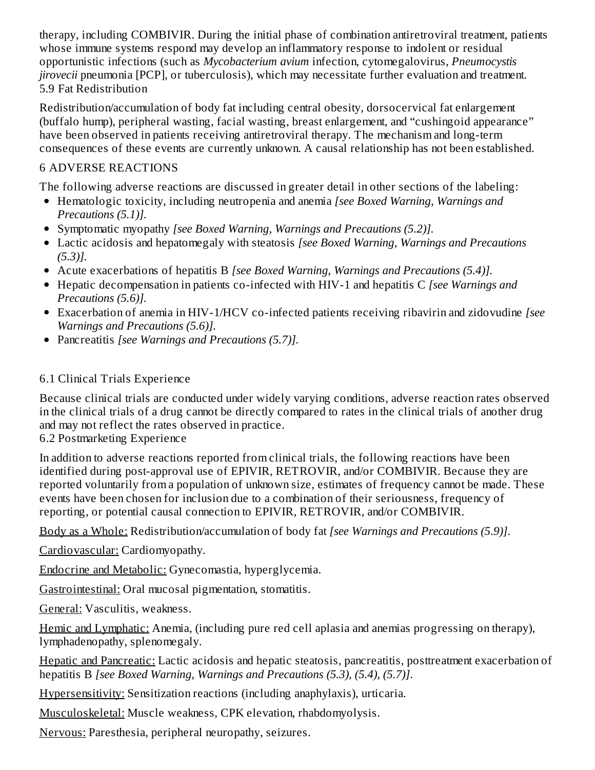therapy, including COMBIVIR. During the initial phase of combination antiretroviral treatment, patients whose immune systems respond may develop an inflammatory response to indolent or residual opportunistic infections (such as *Mycobacterium avium* infection, cytomegalovirus, *Pneumocystis jirovecii* pneumonia [PCP], or tuberculosis), which may necessitate further evaluation and treatment. 5.9 Fat Redistribution

Redistribution/accumulation of body fat including central obesity, dorsocervical fat enlargement (buffalo hump), peripheral wasting, facial wasting, breast enlargement, and "cushingoid appearance" have been observed in patients receiving antiretroviral therapy. The mechanism and long-term consequences of these events are currently unknown. A causal relationship has not been established.

## 6 ADVERSE REACTIONS

The following adverse reactions are discussed in greater detail in other sections of the labeling:

- Hematologic toxicity, including neutropenia and anemia *[see Boxed Warning, Warnings and Precautions (5.1)].*
- Symptomatic myopathy *[see Boxed Warning, Warnings and Precautions (5.2)].*
- Lactic acidosis and hepatomegaly with steatosis *[see Boxed Warning, Warnings and Precautions (5.3)].*
- Acute exacerbations of hepatitis B *[see Boxed Warning, Warnings and Precautions (5.4)].*
- Hepatic decompensation in patients co-infected with HIV-1 and hepatitis C *[see Warnings and Precautions (5.6)].*
- Exacerbation of anemia in HIV-1/HCV co-infected patients receiving ribavirin and zidovudine *[see Warnings and Precautions (5.6)].*
- Pancreatitis *[see Warnings and Precautions (5.7)].*

# 6.1 Clinical Trials Experience

Because clinical trials are conducted under widely varying conditions, adverse reaction rates observed in the clinical trials of a drug cannot be directly compared to rates in the clinical trials of another drug and may not reflect the rates observed in practice.

6.2 Postmarketing Experience

In addition to adverse reactions reported from clinical trials, the following reactions have been identified during post-approval use of EPIVIR, RETROVIR, and/or COMBIVIR. Because they are reported voluntarily from a population of unknown size, estimates of frequency cannot be made. These events have been chosen for inclusion due to a combination of their seriousness, frequency of reporting, or potential causal connection to EPIVIR, RETROVIR, and/or COMBIVIR.

Body as a Whole: Redistribution/accumulation of body fat *[see Warnings and Precautions (5.9)]*.

Cardiovascular: Cardiomyopathy.

Endocrine and Metabolic: Gynecomastia, hyperglycemia.

Gastrointestinal: Oral mucosal pigmentation, stomatitis.

General: Vasculitis, weakness.

Hemic and Lymphatic: Anemia, (including pure red cell aplasia and anemias progressing on therapy), lymphadenopathy, splenomegaly.

Hepatic and Pancreatic: Lactic acidosis and hepatic steatosis, pancreatitis, posttreatment exacerbation of hepatitis B *[see Boxed Warning, Warnings and Precautions (5.3), (5.4), (5.7)]*.

Hypersensitivity: Sensitization reactions (including anaphylaxis), urticaria.

Musculoskeletal: Muscle weakness, CPK elevation, rhabdomyolysis.

Nervous: Paresthesia, peripheral neuropathy, seizures.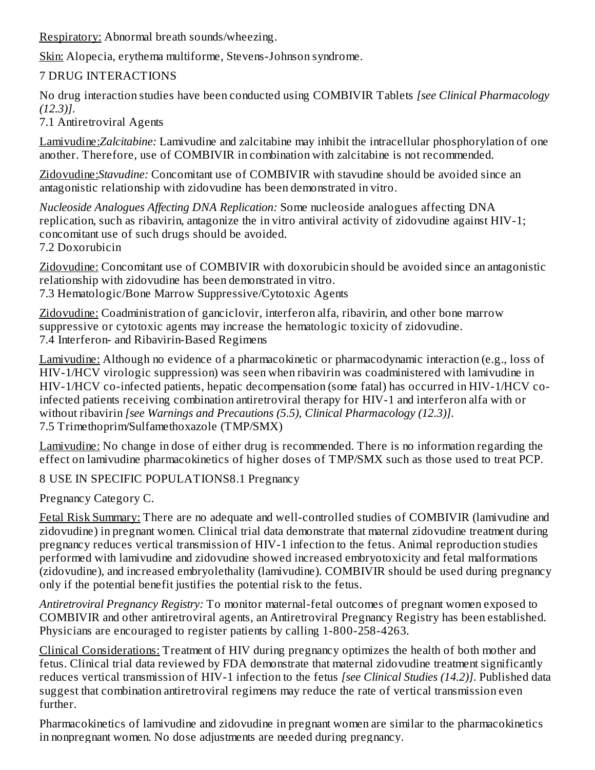Respiratory: Abnormal breath sounds/wheezing.

Skin: Alopecia, erythema multiforme, Stevens-Johnson syndrome.

## 7 DRUG INTERACTIONS

No drug interaction studies have been conducted using COMBIVIR Tablets *[see Clinical Pharmacology (12.3)]*.

7.1 Antiretroviral Agents

Lamivudine:*Zalcitabine:* Lamivudine and zalcitabine may inhibit the intracellular phosphorylation of one another. Therefore, use of COMBIVIR in combination with zalcitabine is not recommended.

Zidovudine:*Stavudine:* Concomitant use of COMBIVIR with stavudine should be avoided since an antagonistic relationship with zidovudine has been demonstrated in vitro.

*Nucleoside Analogues Affecting DNA Replication:* Some nucleoside analogues affecting DNA replication, such as ribavirin, antagonize the in vitro antiviral activity of zidovudine against HIV-1; concomitant use of such drugs should be avoided.

7.2 Doxorubicin

Zidovudine: Concomitant use of COMBIVIR with doxorubicin should be avoided since an antagonistic relationship with zidovudine has been demonstrated in vitro.

7.3 Hematologic/Bone Marrow Suppressive/Cytotoxic Agents

Zidovudine: Coadministration of ganciclovir, interferon alfa, ribavirin, and other bone marrow suppressive or cytotoxic agents may increase the hematologic toxicity of zidovudine. 7.4 Interferon- and Ribavirin-Based Regimens

Lamivudine: Although no evidence of a pharmacokinetic or pharmacodynamic interaction (e.g., loss of HIV-1/HCV virologic suppression) was seen when ribavirin was coadministered with lamivudine in HIV-1/HCV co-infected patients, hepatic decompensation (some fatal) has occurred in HIV-1/HCV coinfected patients receiving combination antiretroviral therapy for HIV-1 and interferon alfa with or without ribavirin *[see Warnings and Precautions (5.5), Clinical Pharmacology (12.3)]*. 7.5 Trimethoprim/Sulfamethoxazole (TMP/SMX)

Lamivudine: No change in dose of either drug is recommended. There is no information regarding the effect on lamivudine pharmacokinetics of higher doses of TMP/SMX such as those used to treat PCP.

8 USE IN SPECIFIC POPULATIONS8.1 Pregnancy

Pregnancy Category C.

Fetal Risk Summary: There are no adequate and well-controlled studies of COMBIVIR (lamivudine and zidovudine) in pregnant women. Clinical trial data demonstrate that maternal zidovudine treatment during pregnancy reduces vertical transmission of HIV-1 infection to the fetus. Animal reproduction studies performed with lamivudine and zidovudine showed increased embryotoxicity and fetal malformations (zidovudine), and increased embryolethality (lamivudine). COMBIVIR should be used during pregnancy only if the potential benefit justifies the potential risk to the fetus.

*Antiretroviral Pregnancy Registry:* To monitor maternal-fetal outcomes of pregnant women exposed to COMBIVIR and other antiretroviral agents, an Antiretroviral Pregnancy Registry has been established. Physicians are encouraged to register patients by calling 1-800-258-4263.

Clinical Considerations: Treatment of HIV during pregnancy optimizes the health of both mother and fetus. Clinical trial data reviewed by FDA demonstrate that maternal zidovudine treatment significantly reduces vertical transmission of HIV-1 infection to the fetus *[see Clinical Studies (14.2)]*. Published data suggest that combination antiretroviral regimens may reduce the rate of vertical transmission even further.

Pharmacokinetics of lamivudine and zidovudine in pregnant women are similar to the pharmacokinetics in nonpregnant women. No dose adjustments are needed during pregnancy.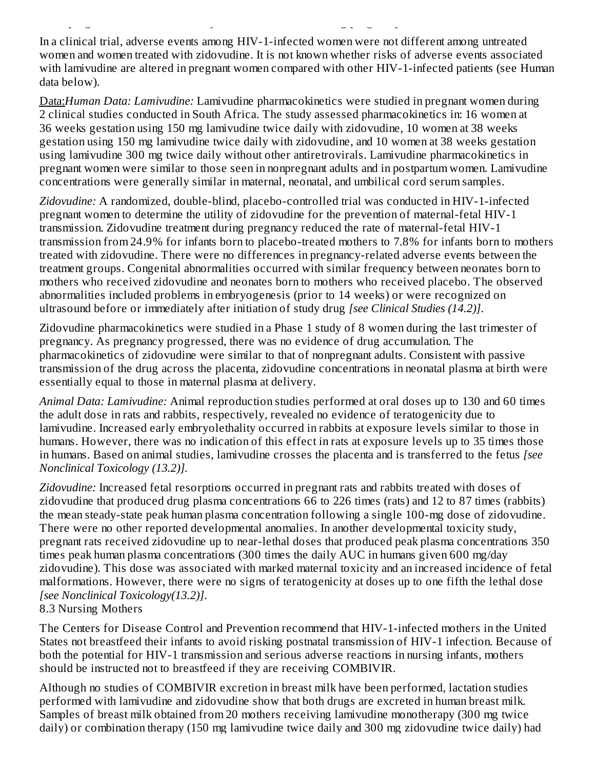In a clinical trial, adverse events among HIV-1-infected women were not different among untreated women and women treated with zidovudine. It is not known whether risks of adverse events associated with lamivudine are altered in pregnant women compared with other HIV-1-infected patients (see Human data below).

in nonpregnant women. No dose adjustments are needed during pregnancy.

Data:*Human Data: Lamivudine:* Lamivudine pharmacokinetics were studied in pregnant women during 2 clinical studies conducted in South Africa. The study assessed pharmacokinetics in: 16 women at 36 weeks gestation using 150 mg lamivudine twice daily with zidovudine, 10 women at 38 weeks gestation using 150 mg lamivudine twice daily with zidovudine, and 10 women at 38 weeks gestation using lamivudine 300 mg twice daily without other antiretrovirals. Lamivudine pharmacokinetics in pregnant women were similar to those seen in nonpregnant adults and in postpartum women. Lamivudine concentrations were generally similar in maternal, neonatal, and umbilical cord serum samples.

*Zidovudine:* A randomized, double-blind, placebo-controlled trial was conducted in HIV-1-infected pregnant women to determine the utility of zidovudine for the prevention of maternal-fetal HIV-1 transmission. Zidovudine treatment during pregnancy reduced the rate of maternal-fetal HIV-1 transmission from 24.9% for infants born to placebo-treated mothers to 7.8% for infants born to mothers treated with zidovudine. There were no differences in pregnancy-related adverse events between the treatment groups. Congenital abnormalities occurred with similar frequency between neonates born to mothers who received zidovudine and neonates born to mothers who received placebo. The observed abnormalities included problems in embryogenesis (prior to 14 weeks) or were recognized on ultrasound before or immediately after initiation of study drug *[see Clinical Studies (14.2)]*.

Zidovudine pharmacokinetics were studied in a Phase 1 study of 8 women during the last trimester of pregnancy. As pregnancy progressed, there was no evidence of drug accumulation. The pharmacokinetics of zidovudine were similar to that of nonpregnant adults. Consistent with passive transmission of the drug across the placenta, zidovudine concentrations in neonatal plasma at birth were essentially equal to those in maternal plasma at delivery.

*Animal Data: Lamivudine:* Animal reproduction studies performed at oral doses up to 130 and 60 times the adult dose in rats and rabbits, respectively, revealed no evidence of teratogenicity due to lamivudine. Increased early embryolethality occurred in rabbits at exposure levels similar to those in humans. However, there was no indication of this effect in rats at exposure levels up to 35 times those in humans. Based on animal studies, lamivudine crosses the placenta and is transferred to the fetus *[see Nonclinical Toxicology (13.2)].*

*Zidovudine:* Increased fetal resorptions occurred in pregnant rats and rabbits treated with doses of zidovudine that produced drug plasma concentrations 66 to 226 times (rats) and 12 to 87 times (rabbits) the mean steady-state peak human plasma concentration following a single 100-mg dose of zidovudine. There were no other reported developmental anomalies. In another developmental toxicity study, pregnant rats received zidovudine up to near-lethal doses that produced peak plasma concentrations 350 times peak human plasma concentrations (300 times the daily AUC in humans given 600 mg/day zidovudine). This dose was associated with marked maternal toxicity and an increased incidence of fetal malformations. However, there were no signs of teratogenicity at doses up to one fifth the lethal dose *[see Nonclinical Toxicology(13.2)]*.

8.3 Nursing Mothers

The Centers for Disease Control and Prevention recommend that HIV-1-infected mothers in the United States not breastfeed their infants to avoid risking postnatal transmission of HIV-1 infection. Because of both the potential for HIV-1 transmission and serious adverse reactions in nursing infants, mothers should be instructed not to breastfeed if they are receiving COMBIVIR.

Although no studies of COMBIVIR excretion in breast milk have been performed, lactation studies performed with lamivudine and zidovudine show that both drugs are excreted in human breast milk. Samples of breast milk obtained from 20 mothers receiving lamivudine monotherapy (300 mg twice daily) or combination therapy (150 mg lamivudine twice daily and 300 mg zidovudine twice daily) had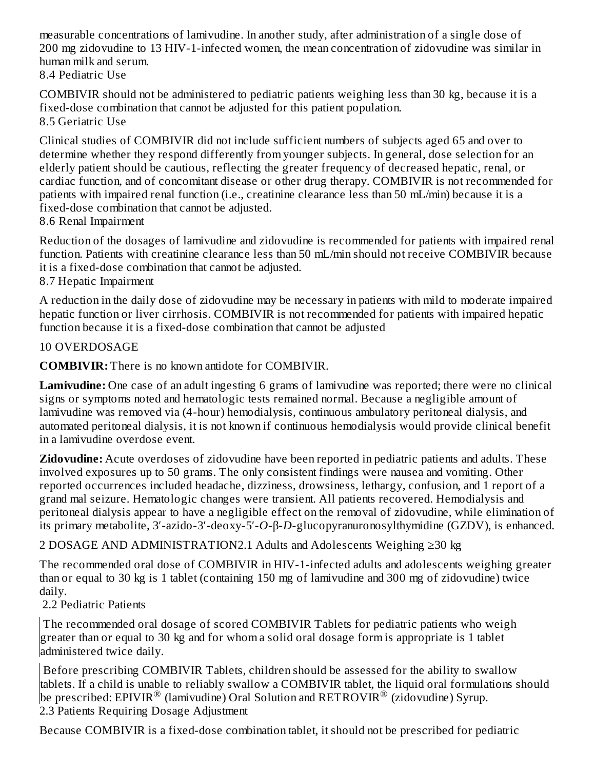measurable concentrations of lamivudine. In another study, after administration of a single dose of 200 mg zidovudine to 13 HIV-1-infected women, the mean concentration of zidovudine was similar in human milk and serum. 8.4 Pediatric Use

COMBIVIR should not be administered to pediatric patients weighing less than 30 kg, because it is a fixed-dose combination that cannot be adjusted for this patient population. 8.5 Geriatric Use

Clinical studies of COMBIVIR did not include sufficient numbers of subjects aged 65 and over to determine whether they respond differently from younger subjects. In general, dose selection for an elderly patient should be cautious, reflecting the greater frequency of decreased hepatic, renal, or cardiac function, and of concomitant disease or other drug therapy. COMBIVIR is not recommended for patients with impaired renal function (i.e., creatinine clearance less than 50 mL/min) because it is a fixed-dose combination that cannot be adjusted.

8.6 Renal Impairment

Reduction of the dosages of lamivudine and zidovudine is recommended for patients with impaired renal function. Patients with creatinine clearance less than 50 mL/min should not receive COMBIVIR because it is a fixed-dose combination that cannot be adjusted*.*

8.7 Hepatic Impairment

A reduction in the daily dose of zidovudine may be necessary in patients with mild to moderate impaired hepatic function or liver cirrhosis. COMBIVIR is not recommended for patients with impaired hepatic function because it is a fixed-dose combination that cannot be adjusted

### 10 OVERDOSAGE

**COMBIVIR:** There is no known antidote for COMBIVIR.

**Lamivudine:** One case of an adult ingesting 6 grams of lamivudine was reported; there were no clinical signs or symptoms noted and hematologic tests remained normal. Because a negligible amount of lamivudine was removed via (4-hour) hemodialysis, continuous ambulatory peritoneal dialysis, and automated peritoneal dialysis, it is not known if continuous hemodialysis would provide clinical benefit in a lamivudine overdose event.

**Zidovudine:** Acute overdoses of zidovudine have been reported in pediatric patients and adults. These involved exposures up to 50 grams. The only consistent findings were nausea and vomiting. Other reported occurrences included headache, dizziness, drowsiness, lethargy, confusion, and 1 report of a grand mal seizure. Hematologic changes were transient. All patients recovered. Hemodialysis and peritoneal dialysis appear to have a negligible effect on the removal of zidovudine, while elimination of its primary metabolite, 3′-azido-3′-deoxy-5′-*O*-β-*D*-glucopyranuronosylthymidine (GZDV), is enhanced.

2 DOSAGE AND ADMINISTRATION2.1 Adults and Adolescents Weighing ≥30 kg

The recommended oral dose of COMBIVIR in HIV-1-infected adults and adolescents weighing greater than or equal to 30 kg is 1 tablet (containing 150 mg of lamivudine and 300 mg of zidovudine) twice daily.

2.2 Pediatric Patients

The recommended oral dosage of scored COMBIVIR Tablets for pediatric patients who weigh greater than or equal to 30 kg and for whom a solid oral dosage form is appropriate is 1 tablet administered twice daily.

Before prescribing COMBIVIR Tablets, children should be assessed for the ability to swallow tablets. If a child is unable to reliably swallow a COMBIVIR tablet, the liquid oral formulations should be prescribed: EPIVIR $^\circledR$  (lamivudine) Oral Solution and RETROVIR $^\circledR$  (zidovudine) Syrup. 2.3 Patients Requiring Dosage Adjustment

Because COMBIVIR is a fixed-dose combination tablet, it should not be prescribed for pediatric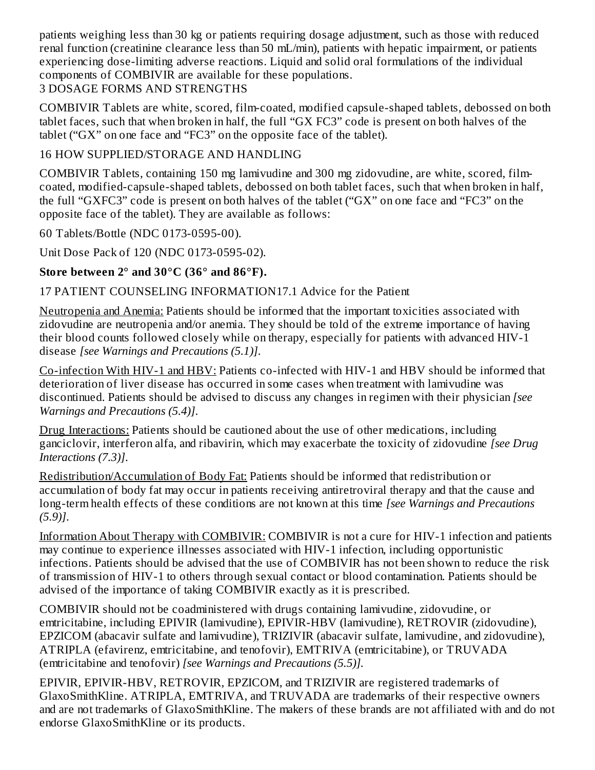patients weighing less than 30 kg or patients requiring dosage adjustment, such as those with reduced renal function (creatinine clearance less than 50 mL/min), patients with hepatic impairment, or patients experiencing dose-limiting adverse reactions. Liquid and solid oral formulations of the individual components of COMBIVIR are available for these populations.

## 3 DOSAGE FORMS AND STRENGTHS

COMBIVIR Tablets are white, scored, film-coated, modified capsule-shaped tablets, debossed on both tablet faces, such that when broken in half, the full "GX FC3" code is present on both halves of the tablet ("GX" on one face and "FC3" on the opposite face of the tablet).

## 16 HOW SUPPLIED/STORAGE AND HANDLING

COMBIVIR Tablets, containing 150 mg lamivudine and 300 mg zidovudine, are white, scored, filmcoated, modified-capsule-shaped tablets, debossed on both tablet faces, such that when broken in half, the full "GXFC3" code is present on both halves of the tablet ("GX" on one face and "FC3" on the opposite face of the tablet). They are available as follows:

60 Tablets/Bottle (NDC 0173-0595-00).

Unit Dose Pack of 120 (NDC 0173-0595-02).

## **Store between 2° and 30°C (36° and 86°F).**

## 17 PATIENT COUNSELING INFORMATION17.1 Advice for the Patient

Neutropenia and Anemia: Patients should be informed that the important toxicities associated with zidovudine are neutropenia and/or anemia. They should be told of the extreme importance of having their blood counts followed closely while on therapy, especially for patients with advanced HIV-1 disease *[see Warnings and Precautions (5.1)]*.

Co-infection With HIV-1 and HBV: Patients co-infected with HIV-1 and HBV should be informed that deterioration of liver disease has occurred in some cases when treatment with lamivudine was discontinued. Patients should be advised to discuss any changes in regimen with their physician *[see Warnings and Precautions (5.4)]*.

Drug Interactions: Patients should be cautioned about the use of other medications, including ganciclovir, interferon alfa, and ribavirin, which may exacerbate the toxicity of zidovudine *[see Drug Interactions (7.3)]*.

Redistribution/Accumulation of Body Fat: Patients should be informed that redistribution or accumulation of body fat may occur in patients receiving antiretroviral therapy and that the cause and long-term health effects of these conditions are not known at this time *[see Warnings and Precautions (5.9)]*.

Information About Therapy with COMBIVIR: COMBIVIR is not a cure for HIV-1 infection and patients may continue to experience illnesses associated with HIV-1 infection, including opportunistic infections. Patients should be advised that the use of COMBIVIR has not been shown to reduce the risk of transmission of HIV-1 to others through sexual contact or blood contamination. Patients should be advised of the importance of taking COMBIVIR exactly as it is prescribed.

COMBIVIR should not be coadministered with drugs containing lamivudine, zidovudine, or emtricitabine, including EPIVIR (lamivudine), EPIVIR-HBV (lamivudine), RETROVIR (zidovudine), EPZICOM (abacavir sulfate and lamivudine), TRIZIVIR (abacavir sulfate, lamivudine, and zidovudine), ATRIPLA (efavirenz, emtricitabine, and tenofovir), EMTRIVA (emtricitabine), or TRUVADA (emtricitabine and tenofovir) *[see Warnings and Precautions (5.5)].*

EPIVIR, EPIVIR-HBV, RETROVIR, EPZICOM, and TRIZIVIR are registered trademarks of GlaxoSmithKline. ATRIPLA, EMTRIVA, and TRUVADA are trademarks of their respective owners and are not trademarks of GlaxoSmithKline. The makers of these brands are not affiliated with and do not endorse GlaxoSmithKline or its products.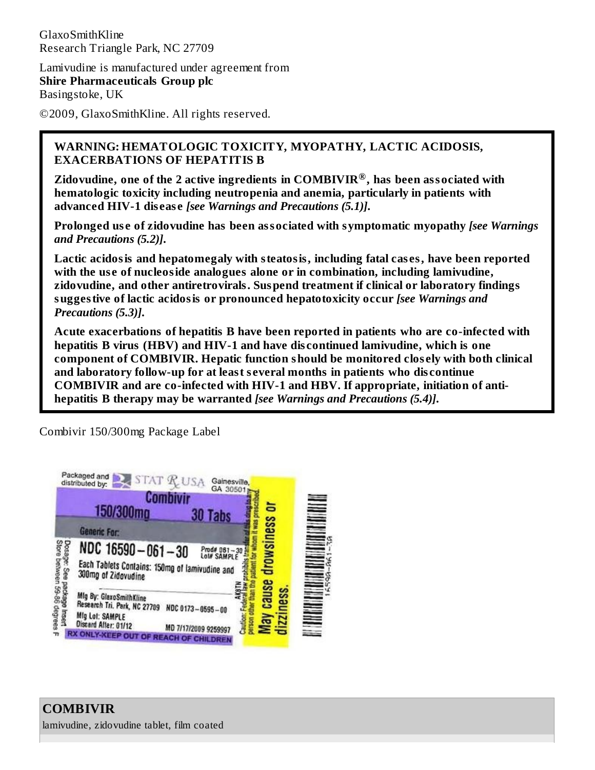GlaxoSmithKline Research Triangle Park, NC 27709

Lamivudine is manufactured under agreement from **Shire Pharmaceuticals Group plc** Basingstoke, UK

©2009, GlaxoSmithKline. All rights reserved.

### **WARNING: HEMATOLOGIC TOXICITY, MYOPATHY, LACTIC ACIDOSIS, EXACERBATIONS OF HEPATITIS B**

**Zidovudine, one of the 2 active ingredients in COMBIVIR , has been associated with ®hematologic toxicity including neutropenia and anemia, particularly in patients with advanced HIV-1 dis eas e** *[see Warnings and Precautions (5.1)]***.**

**Prolonged us e of zidovudine has been associated with symptomatic myopathy** *[see Warnings and Precautions (5.2)]***.**

**Lactic acidosis and hepatomegaly with steatosis, including fatal cas es, have been reported with the us e of nucleoside analogues alone or in combination, including lamivudine, zidovudine, and other antiretrovirals. Suspend treatment if clinical or laboratory findings suggestive of lactic acidosis or pronounced hepatotoxicity occur** *[see Warnings and Precautions (5.3)]***.**

**Acute exacerbations of hepatitis B have been reported in patients who are co-infected with hepatitis B virus (HBV) and HIV-1 and have dis continued lamivudine, which is one component of COMBIVIR. Hepatic function should be monitored clos ely with both clinical and laboratory follow-up for at least s everal months in patients who dis continue COMBIVIR and are co-infected with HIV-1 and HBV. If appropriate, initiation of antihepatitis B therapy may be warranted** *[see Warnings and Precautions (5.4)]***.**

Combivir 150/300mg Package Label